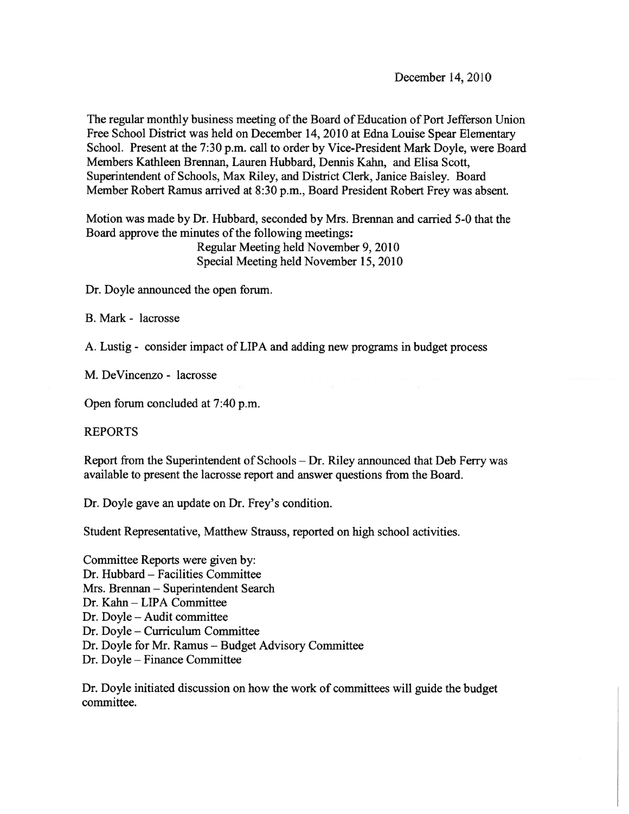December 14, 2010

The regular monthly business meeting of the Board of Education of Port Jefferson Union Free School District was held on December 14, 2010 at Edna Louise Spear Elementary School. Present at the 7:30 p.m. call to order by Vice-President Mark Doyle, were Board Members Kathleen Brennan, Lauren Hubbard, Dennis Kahn, and Elisa Scott, Superintendent of Schools, Max Riley, and District Clerk, Janice Baisley. Board Member Robert Ramus arrived at 8:30 p.m., Board President Robert Frey was absent.

Motion was made by Dr. Hubbard, seconded by Mrs. Brennan and carried 5-0 that the Board approve the minutes of the following meetings: Regular Meeting held November 9, 2010 Special Meeting held November 15, 2010

Dr. Doyle announced the open forum.

B. Mark - lacrosse

A. Lustig - consider impact of LIPA and adding new programs in budget process

M. DeVincenzo - lacrosse

Open forum concluded at 7:40 p.m.

### REPORTS

Report from the Superintendent of Schools — Dr. Riley announced that Deb Ferry was available to presen<sup>t</sup> the lacrosse repor<sup>t</sup> and answer questions from the Board.

Dr. Doyle gave an update on Dr. Frey's condition.

Student Representative, Matthew Strauss, reported on high school activities.

Committee Reports were given by: Dr. Hubbard — Facilities Committee Mrs. Brennan — Superintendent Search Dr. Kahn - LIPA Committee Dr. Doyle — Audit committee Dr. Doyle — Curriculum Committee Dr. Doyle for Mr. Ramus — Budget Advisory Committee Dr. Doyle — Finance Committee

Dr. Doyle initiated discussion on how the work of committees will guide the budget committee.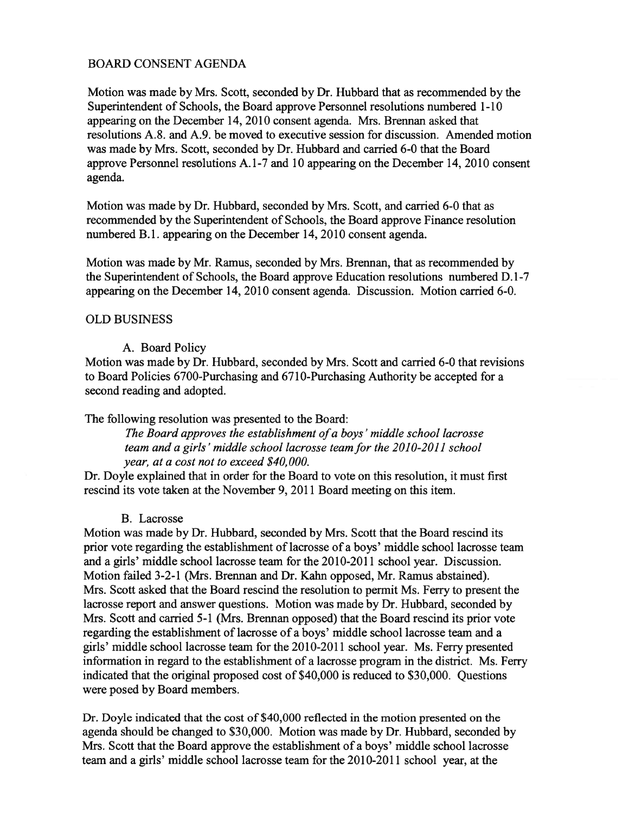# BOARD CONSENT AGENDA

Motion was made by Mrs. Scott, seconded by Dr. Hubbard that as recommended by the Superintendent of Schools, the Board approve Personnel resolutions numbered 1-10 appearing on the December 14, 2010 consent agenda. Mrs. Brennan asked that resolutions A.8. and A.9. be moved to executive session for discussion. Amended motion was made by Mrs. Scott, seconded by Dr. Hubbard and carried 6-0 that the Board approve Personnel resolutions A. 1-7 and 10 appearing on the December 14, 2010 consent agenda.

Motion was made by Dr. Hubbard, seconded by Mrs. Scott, and carried 6-0 that as recommended by the Superintendent of Schools, the Board approve Finance resolution numbered B.1. appearing on the December 14, 2010 consent agenda.

Motion was made by Mr. Ramus, seconded by Mrs. Brennan, that as recommended by the Superintendent of Schools, the Board approve Education resolutions numbered D. 1-7 appearing on the December 14, 2010 consent agenda. Discussion. Motion carried 6-0.

## OLD BUSINESS

## A. Board Policy

Motion was made by Dr. Hubbard, seconded by Mrs. Scott and carried 6-0 that revisions to Board Policies 6700-Purchasing and 6710-Purchasing Authority be accepted for <sup>a</sup> second reading and adopted.

The following resolution was presented to the Board:

The Board approves the establishment of a boys' middle school lacrosse team and a girls' middle school lacrosse team for the 2010-2011 school year, at <sup>a</sup> cost not to exceed \$40,000.

Dr. Doyle explained that in order for the Board to vote on this resolution, it must first rescind its vote taken at the November 9, 2011 Board meeting on this item.

#### B. Lacrosse

Motion was made by Dr. Hubbard, seconded by Mrs. Scott that the Board rescind its prior vote regarding the establishment of lacrosse of <sup>a</sup> boys' middle school lacrosse team and a girls' middle school lacrosse team for the 2010-2011 school year. Discussion. Motion failed 3-2-1 (Mrs. Brennan and Dr. Kahn opposed, Mr. Ramus abstained). Mrs. Scott asked that the Board rescind the resolution to permit Ms. Ferry to presen<sup>t</sup> the lacrosse repor<sup>t</sup> and answer questions. Motion was made by Dr. Hubbard, seconded by Mrs. Scott and carried 5-1 (Mrs. Brennan opposed) that the Board rescind its prior vote regarding the establishment of lacrosse of <sup>a</sup> boys' middle school lacrosse team and <sup>a</sup> girls' middle school lacrosse team for the 2010-2011 school year. Ms. Ferry presented information in regard to the establishment of <sup>a</sup> lacrosse program in the district. Ms. Ferry indicated that the original proposed cost of \$40,000 is reduced to \$30,000. Questions were posed by Board members.

Dr. Doyle indicated that the cost of \$40,000 reflected in the motion presented on the agenda should be changed to \$30,000. Motion was made by Dr. Hubbard, seconded by Mrs. Scott that the Board approve the establishment of <sup>a</sup> boys' middle school lacrosse team and <sup>a</sup> girls' middle school lacrosse team for the 2010-20 1 1 school year, at the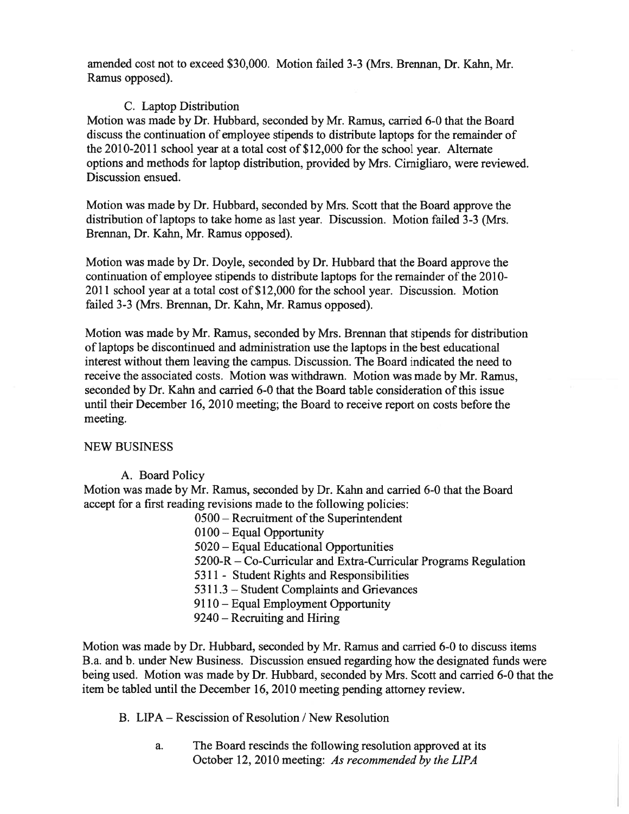amended cost not to exceed \$30,000. Motion failed 3-3 (Mrs. Brennan, Dr. Kahn, Mr. Ramus opposed).

## C. Laptop Distribution

Motion was made by Dr. Hubbard, seconded by Mr. Ramus, carried 6-0 that the Board discuss the continuation of employee stipends to distribute laptops for the remainder of the 2010-2011 school year at a total cost of \$12,000 for the school year. Alternate options and methods for laptop distribution, provided by Mrs. Cimigliaro, were reviewed. Discussion ensued.

Motion was made by Dr. Hubbard, seconded by Mrs. Scott that the Board approve the distribution of laptops to take home as last year. Discussion. Motion failed 3-3 (Mrs. Brennan, Dr. Kahn, Mr. Ramus opposed).

Motion was made by Dr. Doyle, seconded by Dr. Hubbard that the Board approve the continuation of employee stipends to distribute laptops for the remainder of the 2010-  $2011$  school year at a total cost of \$12,000 for the school year. Discussion. Motion failed 3-3 (Mrs. Brennan, Dr. Kahn, Mr. Ramus opposed).

Motion was made by Mr. Ramus, seconded by Mrs. Brennan that stipends for distribution of laptops be discontinued and administration use the laptops in the best educational interest without them leaving the campus. Discussion. The Board indicated the need to receive the associated costs. Motion was withdrawn. Motion was made by Mr. Ramus, seconded by Dr. Kahn and carried 6-0 that the Board table consideration of this issue until their December 16, 2010 meeting; the Board to receive repor<sup>t</sup> on costs before the meeting.

#### NEW BUSiNESS

## A. Board Policy

Motion was made by Mr. Ramus, seconded by Dr. Kahn and carried 6-0 that the Board accep<sup>t</sup> for <sup>a</sup> first reading revisions made to the following policies:

- $0500$  Recruitment of the Superintendent
- 0100— Equal Opportunity
- 5020 Equal Educational Opportunities
- 5200-R Co-Curricular and Extra-Curricular Programs Regulation
- 5311 Student Rights and Responsibilities
- 5311.3 Student Complaints and Grievances
- 9110— Equal Employment Opportunity
- 9240 Recruiting and Hiring

Motion was made by Dr. Hubbard, seconded by Mr. Ramus and carried 6-0 to discuss items B.a. and b. under New Business. Discussion ensued regarding how the designated funds were being used. Motion was made by Dr. Hubbard, seconded by Mrs. Scott and carried 6-0 that the item be tabled until the December 16, 2010 meeting pending attorney review.

B. LIPA — Rescission of Resolution / New Resolution

a. The Board rescinds the following resolution approved at its October 12, 2010 meeting: As recommended by the LIPA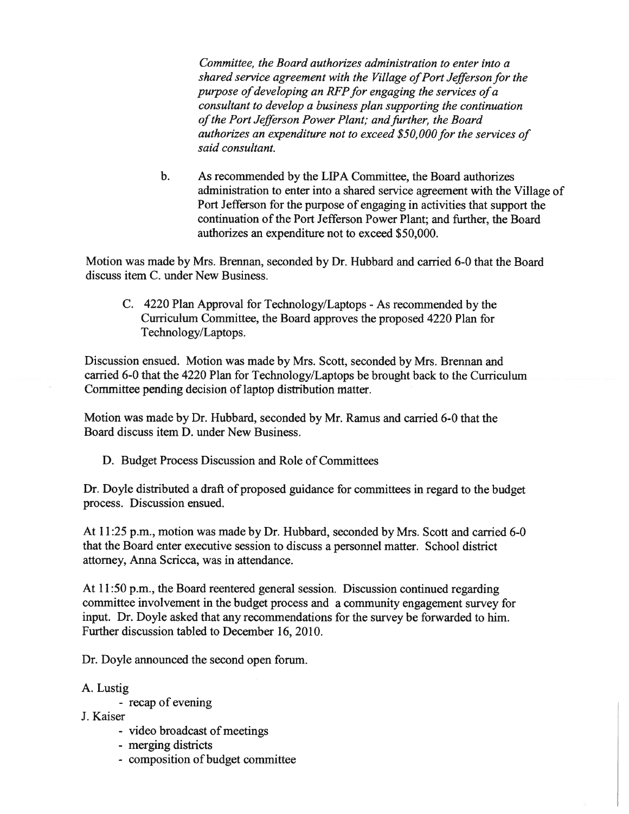Committee, the Board authorizes administration to enter into <sup>a</sup> shared service agreement with the Village of Port Jefferson for the purpose of developing an RFP for engaging the services of  $a$ consultant to develop <sup>a</sup> business plan supporting the continuation of the Port Jefferson Power Plant; and further, the Board authorizes an expenditure not to exceed \$50,000 for the services of said consultant.

b. As recommended by the LIPA Committee, the Board authorizes administration to enter into <sup>a</sup> shared service agreemen<sup>t</sup> with the Village of Port Jefferson for the purpose of engaging in activities that suppor<sup>t</sup> the continuation of the Port Jefferson Power Plant; and further, the Board authorizes an expenditure not to exceed \$50,000.

Motion was made by Mrs. Brennan, seconded by Dr. Hubbard and carried 6-0 that the Board discuss item C. under New Business.

C. 4220 Plan Approval for Technology/Laptops - As recommended by the Curriculum Committee, the Board approves the proposed 4220 Plan for Technology/Laptops.

Discussion ensued. Motion was made by Mrs. Scott, seconded by Mrs. Brennan and carried 6-0 that the 4220 Plan for Technology/Laptops be brought back to the Curriculum Committee pending decision of laptop distribution matter.

Motion was made by Dr. Hubbard, seconded by Mr. Ramus and carried 6-0 that the Board discuss item D. under New Business.

D. Budget Process Discussion and Role of Committees

Dr. Doyle distributed <sup>a</sup> draft of proposed guidance for committees in regard to the budget process. Discussion ensued.

At 11:25 p.m., motion was made by Dr. Hubbard, seconded by Mrs. Scott and carried 6-0 that the Board enter executive session to discuss <sup>a</sup> personnel matter. School district attorney, Anna Scricca, was in attendance.

At 11:50 p.m., the Board reentered general session. Discussion continued regarding committee involvement in the budget process and <sup>a</sup> community engagemen<sup>t</sup> survey for input. Dr. Doyle asked that any recommendations for the survey be forwarded to him. Further discussion tabled to December 16, 2010.

Dr. Doyle announced the second open forum.

## A. Lustig

- recap of evening
- J. Kaiser
	- video broadcast of meetings
	- merging districts
	- composition of budget committee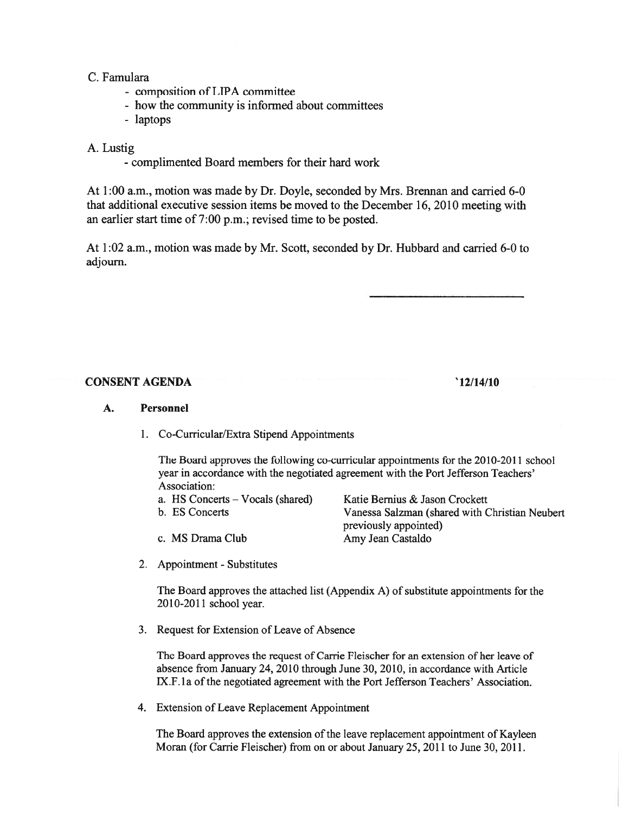### C. Famulara

- composition of LIPA committee
- how the community is informed about committees
- laptops

## A. Lustig

- complimented Board members for their hard work

At 1:00 a.m., motion was made by Dr. Doyle, seconded by Mrs. Brennan and carried 6-0 that additional executive session items be moved to the December 16, 2010 meeting with an earlier start time of 7:00 p.m.; revised time to be posted.

At 1:02 a.m., motion was made by Mr. Scott, seconded by Dr. Hubbard and carried 6-0 to adjourn.

## CONSENT AGENDA '12/14/10

#### A. Personnel

1. Co-Curricular/Extra Stipend Appointments

The Board approves the following co-curricular appointments for the 2010-2011 school year in accordance with the negotiated agreemen<sup>t</sup> with the Port Jefferson Teachers' Association:

|  |  | a. HS Concerts – Vocals (shared) |  |  |
|--|--|----------------------------------|--|--|
|--|--|----------------------------------|--|--|

b. ES Concerts

c. MS Drama Club

Katie Bernius & Jason Crockett Vanessa Salzman (shared with Christian Neubert previously appointed) Amy Jean Castaldo

2. Appointment - Substitutes

The Board approves the attached list (Appendix A) of substitute appointments for the 2010-2011 school year.

3. Request for Extension of Leave of Absence

The Board approves the reques<sup>t</sup> of Carrie Fleischer for an extension of her leave of absence from January 24, 2010 through June 30, 2010, in accordance with Article IX.F.1a of the negotiated agreement with the Port Jefferson Teachers' Association.

4. Extension of Leave Replacement Appointment

The Board approves the extension of the leave replacement appointment of Kayleen Moran (for Carrie Fleischer) from on or about January 25, 2011 to June 30, 2011.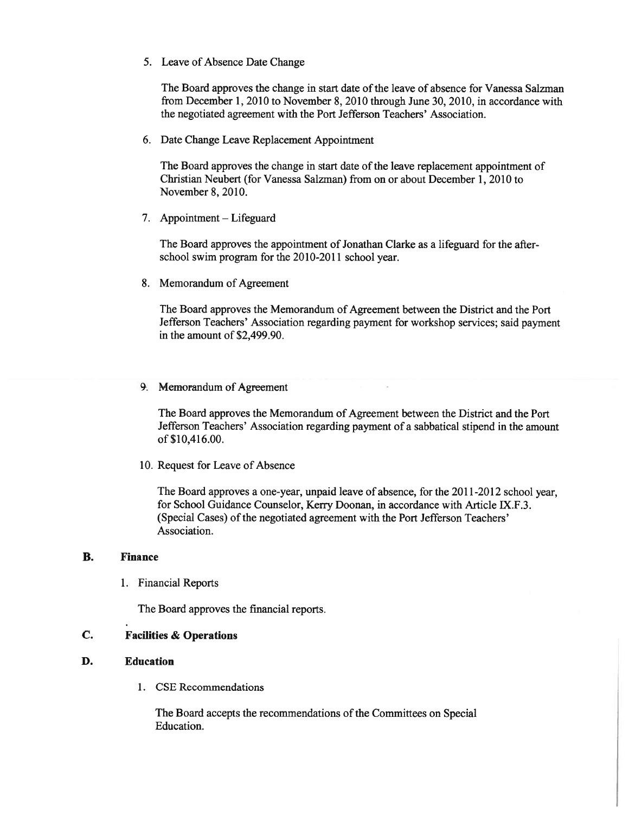5. Leave of Absence Date Change

The Board approves the change in start date of the leave of absence for Vanessa Salzman from December 1, 2010 to November 8, 2010 through June 30, 2010, in accordance with the negotiated agreemen<sup>t</sup> with the Port Jefferson Teachers' Association.

6. Date Change Leave Replacement Appointment

The Board approves the change in start date of the leave replacement appointment of Christian Neubert (for Vanessa Salzman) from on or about December 1, 2010 to November 8, 2010.

7. Appointment — Lifeguard

The Board approves the appointment of Jonathan Clarke as a lifeguard for the afterschool swim program for the 2010-2011 school year.

8. Memorandum of Agreement

The Board approves the Memorandum of Agreement between the District and the Port Jefferson Teachers' Association regarding paymen<sup>t</sup> for workshop services; said paymen<sup>t</sup> in the amount of \$2,499.90.

9. Memorandum of Agreement

The Board approves the Memorandum of Agreement between the District and the Port Jefferson Teachers' Association regarding paymen<sup>t</sup> of <sup>a</sup> sabbatical stipend in the amount of \$10,416.00.

10. Request for Leave of Absence

The Board approves <sup>a</sup> one-year, unpaid leave of absence, for the 2011-2012 school year, for School Guidance Counselor, Kerry Doonan, in accordance with Article JX.F.3. (Special Cases) of the negotiated agreement with the Port Jefferson Teachers' Association.

#### B. Finance

1. Financial Reports

The Board approves the financial reports.

### C. Facilities & Operations

#### D. Education

1. CSE Recommendations

The Board accepts the recommendations of the Committees on Special Education.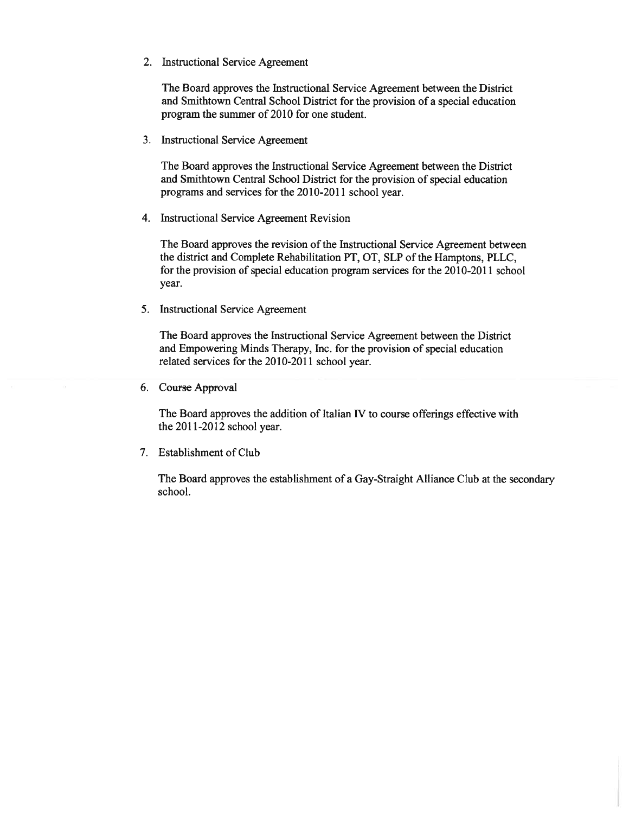2. Instructional Service Agreement

The Board approves the Instructional Service Agreement between the District and Smithtown Central School District for the provision of <sup>a</sup> special education program the summer of 2010 for one student.

3. Instructional Service Agreement

The Board approves the Instructional Service Agreement between the District and Smithtown Central School District for the provision of special education programs and services for the 2010-2011 school year.

4. Instructional Service Agreement Revision

The Board approves the revision of the Instructional Service Agreement between the district and Complete Rehabilitation PT, OT, SLP of the Hamptons, PLLC, for the provision of special education program services for the 2010-2011 school year.

5. Instructional Service Agreement

The Board approves the Instructional Service Agreement between the District and Empowering Minds Therapy, Inc. for the provision of special education related services for the 2010-2011 school year.

6. Course Approval

The Board approves the addition of Italian IV to course offerings effective with the 2011-2012 school year.

7. Establishment of Club

The Board approves the establishment of <sup>a</sup> Gay-Straight Alliance Club at the secondary school.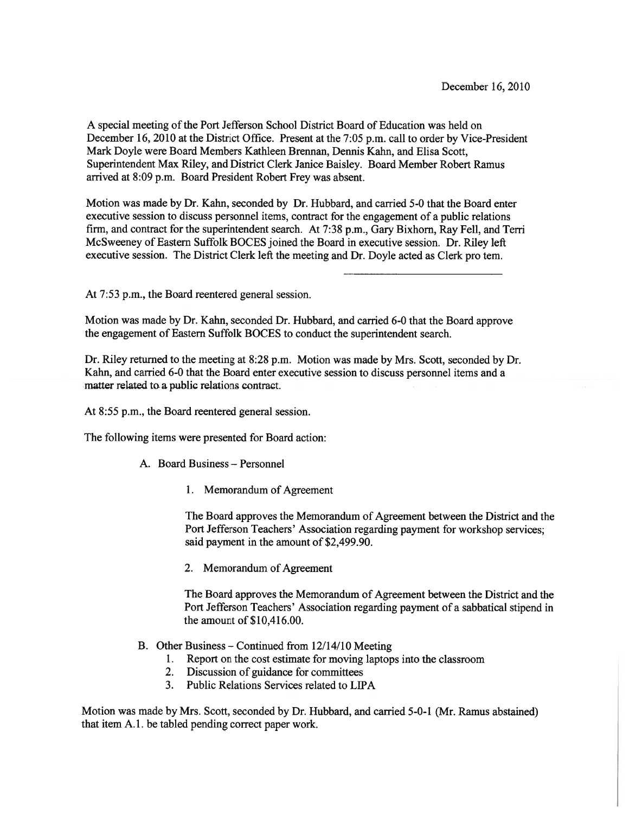A special meeting of the Port Jefferson School District Board of Education was held on December 16, 2010 at the District Office. Present at the 7:05 p.m. call to order by Vice-President Mark Doyle were Board Members Kathleen Brennan, Dennis Kahn, and Elisa Scott, Superintendent Max Riley, and District Clerk Janice Baisley. Board Member Robert Ramus arrived at 8:09 p.m. Board President Robert Frey was absent.

Motion was made by Dr. Kahn, seconded by Dr. Hubbard, and carried 5-0 that the Board enter executive session to discuss personnel items, contract for the engagemen<sup>t</sup> of <sup>a</sup> public relations firm, and contract for the superintendent search. At 7:38 p.m., Gary Bixhorn, Ray Fell, and Tern McSweeney of Eastern Suffolk BOCES joined the Board in executive session. Dr. Riley left executive session. The District Clerk left the meeting and Dr. Doyle acted as Clerk pro tern.

At 7:53 p.m., the Board reentered general session.

Motion was made by Dr. Kahn, seconded Dr. Hubbard, and carried 6-0 that the Board approve the engagemen<sup>t</sup> of Eastern Suffolk BOCES to conduct the superintendent search.

Dr. Riley returned to the meeting at 8:28 p.m. Motion was made by Mrs. Scott, seconded by Dr. Kahn, and carried 6-0 that the Board enter executive session to discuss personnel items and <sup>a</sup> matter related to <sup>a</sup> public relations contract.

At 8:55 p.m., the Board reentered general session.

The following items were presented for Board action:

- A. Board Business Personnel
	- 1. Memorandum of Agreement

The Board approves the Memorandum of Agreement between the District and the Port Jefferson Teachers' Association regarding paymen<sup>t</sup> for workshop services; said paymen<sup>t</sup> in the amount of \$2,499.90.

2. Memorandum of Agreement

The Board approves the Memorandum of Agreement between the District and the Port Jefferson Teachers' Association regarding paymen<sup>t</sup> of <sup>a</sup> sabbatical stipend in the amount of \$10,416.00.

- B. Other Business Continued from 12/14/10 Meeting
	- 1. Report on the cost estimate for moving laptops into the classroom
	- 2. Discussion of guidance for committees
	- 3. Public Relations Services related to LIPA

Motion was made by Mrs. Scott, seconded by Dr. Hubbard, and carried 5-0-1 (Mr. Ramus abstained) that item A. 1. be tabled pending correct paper work.